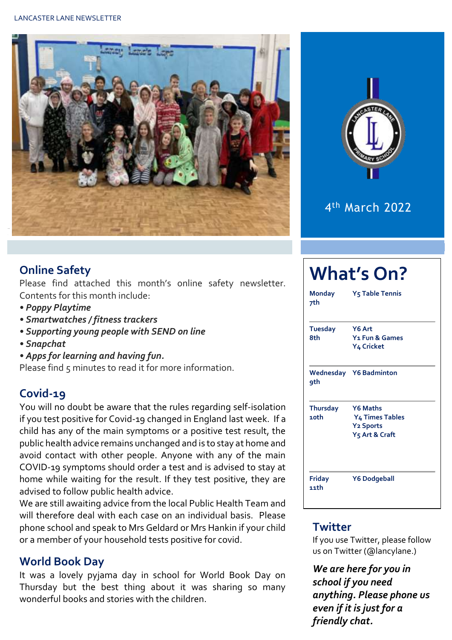



# 4 th March 2022

## **Online Safety**

Please find attached this month's online safety newsletter. Contents for this month include:

- *Poppy Playtime*
- *Smartwatches / fitness trackers*
- *Supporting young people with SEND on line*
- *Snapchat*
- *Apps for learning and having fun.*

Please find 5 minutes to read it for more information.

# **Covid-19**

You will no doubt be aware that the rules regarding self-isolation if you test positive for Covid-19 changed in England last week. If a child has any of the main symptoms or a positive test result, the public health advice remains unchanged and is to stay at home and avoid contact with other people. Anyone with any of the main COVID-19 symptoms should order a test and is advised to stay at home while waiting for the result. If they test positive, they are advised to follow public health advice.

We are still awaiting advice from the local Public Health Team and will therefore deal with each case on an individual basis. Please phone school and speak to Mrs Geldard or Mrs Hankin if your child or a member of your household tests positive for covid.

## **World Book Day**

It was a lovely pyjama day in school for World Book Day on Thursday but the best thing about it was sharing so many wonderful books and stories with the children.

| <b>Monday</b><br>7th    | Y <sub>5</sub> Table Tennis                                                                 |  |  |  |
|-------------------------|---------------------------------------------------------------------------------------------|--|--|--|
| <b>Tuesday</b><br>8th   | Y6 Art<br>Y <sub>1</sub> Fun & Games<br>Y4 Cricket                                          |  |  |  |
| <b>9th</b>              | <b>Wednesday</b> Y6 Badminton                                                               |  |  |  |
| <b>Thursday</b><br>10th | <b>Y6 Maths</b><br><b>Y4 Times Tables</b><br><b>Y2 Sports</b><br>Y <sub>5</sub> Art & Craft |  |  |  |
| <b>Friday</b><br>11th   | <b>Y6 Dodgeball</b>                                                                         |  |  |  |

#### **Twitter**

If you use Twitter, please follow us on Twitter (@lancylane.)

*We are here for you in school if you need anything. Please phone us even if it is just for a friendly chat.*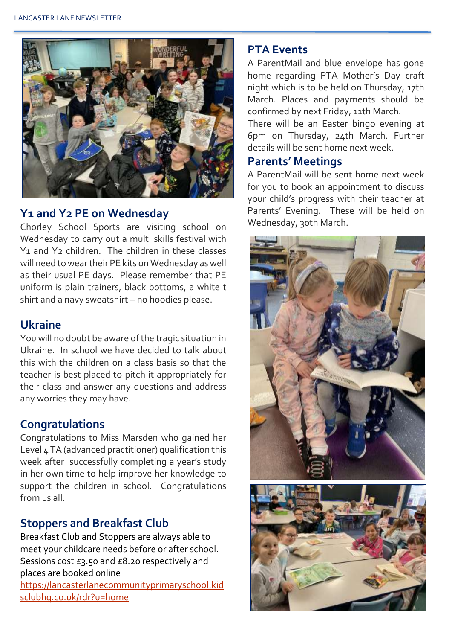

## **Y1 and Y2 PE on Wednesday**

Chorley School Sports are visiting school on Wednesday to carry out a multi skills festival with Y1 and Y2 children. The children in these classes will need to wear their PE kits on Wednesday as well as their usual PE days. Please remember that PE uniform is plain trainers, black bottoms, a white t shirt and a navy sweatshirt – no hoodies please.

## **Ukraine**

You will no doubt be aware of the tragic situation in Ukraine. In school we have decided to talk about this with the children on a class basis so that the teacher is best placed to pitch it appropriately for their class and answer any questions and address any worries they may have.

## **Congratulations**

Congratulations to Miss Marsden who gained her Level 4 TA (advanced practitioner) qualification this week after successfully completing a year's study in her own time to help improve her knowledge to support the children in school. Congratulations from us all.

# **Stoppers and Breakfast Club**

Breakfast Club and Stoppers are always able to meet your childcare needs before or after school. Sessions cost £3.50 and £8.20 respectively and places are booked online [https://lancasterlanecommunityprimaryschool.kid](https://lancasterlanecommunityprimaryschool.kidsclubhq.co.uk/rdr?u=home) [sclubhq.co.uk/rdr?u=home](https://lancasterlanecommunityprimaryschool.kidsclubhq.co.uk/rdr?u=home)

## **PTA Events**

A ParentMail and blue envelope has gone home regarding PTA Mother's Day craft night which is to be held on Thursday, 17th March. Places and payments should be confirmed by next Friday, 11th March.

There will be an Easter bingo evening at 6pm on Thursday, 24th March. Further details will be sent home next week.

#### **Parents' Meetings**

A ParentMail will be sent home next week for you to book an appointment to discuss your child's progress with their teacher at Parents' Evening. These will be held on Wednesday, 30th March.